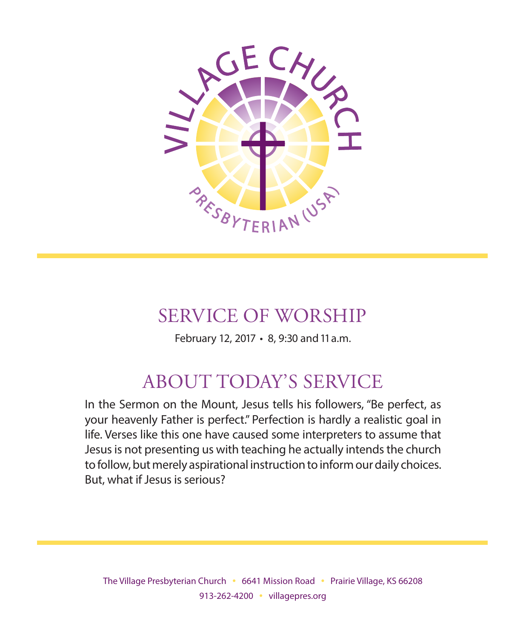

## SERVICE OF WORSHIP

February 12, 2017 • 8, 9:30 and 11 a.m.

# ABOUT TODAY'S SERVICE

In the Sermon on the Mount, Jesus tells his followers, "Be perfect, as your heavenly Father is perfect." Perfection is hardly a realistic goal in life. Verses like this one have caused some interpreters to assume that Jesus is not presenting us with teaching he actually intends the church to follow, but merely aspirational instruction to inform our daily choices. But, what if Jesus is serious?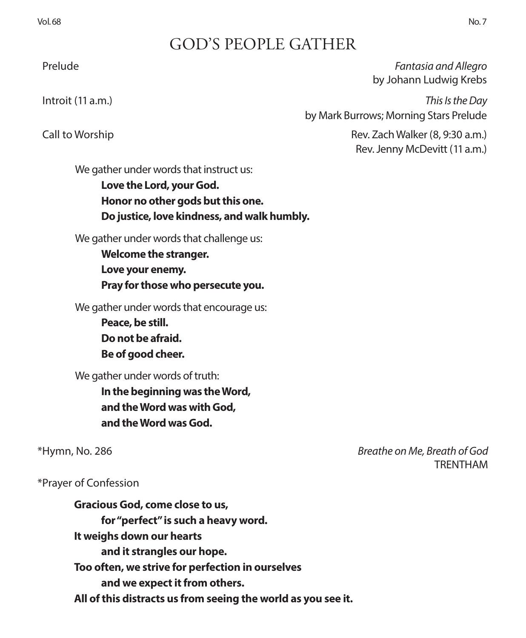### GOD'S PEOPLE GATHER

 Prelude *Fantasia and Allegro*  by Johann Ludwig Krebs

 Introit (11 a.m.) *This Is the Day* by Mark Burrows; Morning Stars Prelude

 Call to Worship Rev. Zach Walker (8, 9:30 a.m.) Rev. Jenny McDevitt (11 a.m.)

We gather under words that instruct us:

**Love the Lord, your God. Honor no other gods but this one. Do justice, love kindness, and walk humbly.**

We gather under words that challenge us:

**Welcome the stranger. Love your enemy. Pray for those who persecute you.** 

We gather under words that encourage us:

**Peace, be still. Do not be afraid. Be of good cheer.**

We gather under words of truth:

**In the beginning was the Word, and the Word was with God, and the Word was God.**

\*Hymn, No. 286 *Breathe on Me, Breath of God* TRENTHAM

\*Prayer of Confession

**Gracious God, come close to us, for "perfect" is such a heavy word. It weighs down our hearts and it strangles our hope. Too often, we strive for perfection in ourselves and we expect it from others. All of this distracts us from seeing the world as you see it.**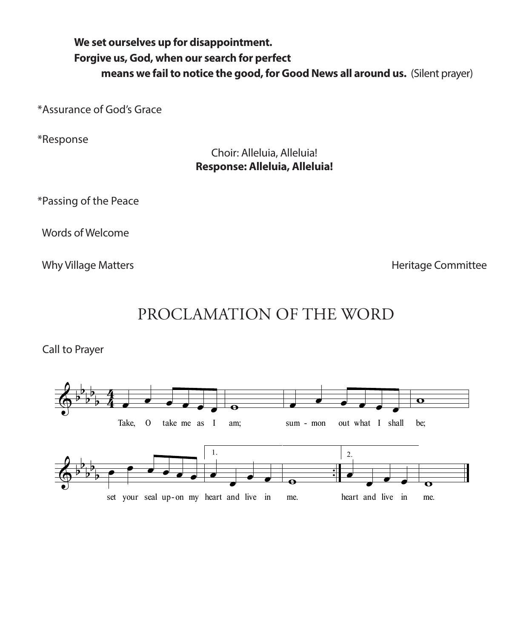### **We set ourselves up for disappointment. Forgive us, God, when our search for perfect means we fail to notice the good, for Good News all around us.** (Silent prayer)

\*Assurance of God's Grace

\*Response

Choir: Alleluia, Alleluia! **Response: Alleluia, Alleluia!**

\*Passing of the Peace

Words of Welcome

Why Village Matters **Matters Matters Matters Matters Matters Matters Matters Heritage Committee** 



Call to Prayer

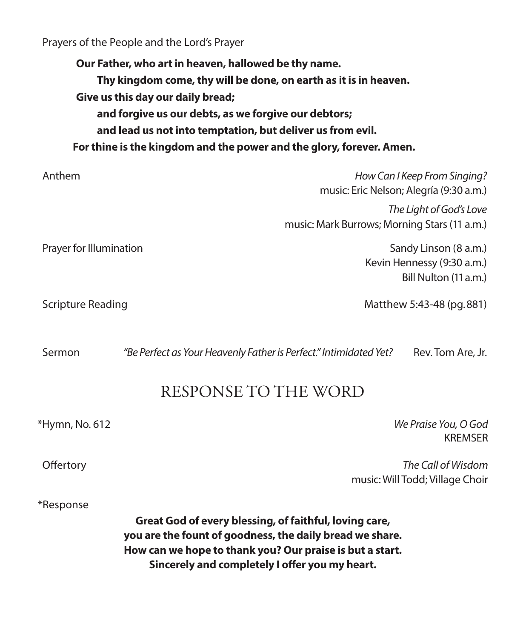Prayers of the People and the Lord's Prayer

**Our Father, who art in heaven, hallowed be thy name. Thy kingdom come, thy will be done, on earth as it is in heaven. Give us this day our daily bread; and forgive us our debts, as we forgive our debtors; and lead us not into temptation, but deliver us from evil. For thine is the kingdom and the power and the glory, forever. Amen.**

| Anthem                  | How Can I Keep From Singing?<br>music: Eric Nelson; Alegría (9:30 a.m.)      |
|-------------------------|------------------------------------------------------------------------------|
|                         | The Light of God's Love<br>music: Mark Burrows; Morning Stars (11 a.m.)      |
| Prayer for Illumination | Sandy Linson (8 a.m.)<br>Kevin Hennessy (9:30 a.m.)<br>Bill Nulton (11 a.m.) |
| Scripture Reading       | Matthew 5:43-48 (pg. 881)                                                    |

Sermon *"Be Perfect as Your Heavenly Father is Perfect." Intimidated Yet?* Rev. Tom Are, Jr.

### RESPONSE TO THE WORD

\*Hymn, No. 612 *We Praise You, O God* KREMSER

 Offertory *The Call of Wisdom* music: Will Todd; Village Choir

# \*Response

**Great God of every blessing, of faithful, loving care, you are the fount of goodness, the daily bread we share. How can we hope to thank you? Our praise is but a start. Sincerely and completely I offer you my heart.**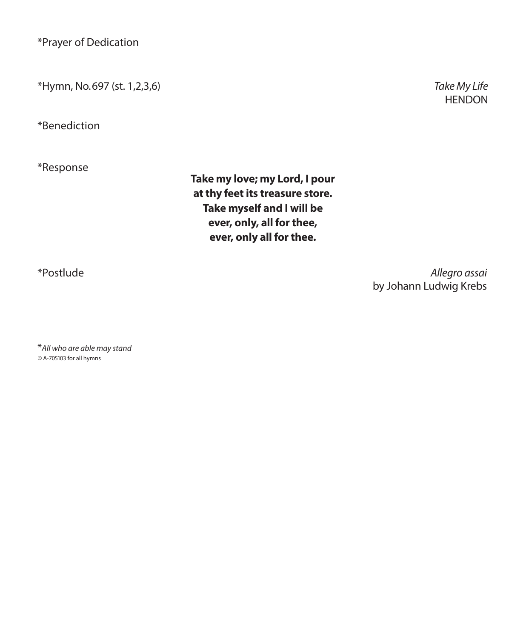\*Prayer of Dedication

\*Hymn, No. 697 (st. 1,2,3,6) *Take My Life*

\*Benediction

\*Response

**Take my love; my Lord, I pour at thy feet its treasure store. Take myself and I will be ever, only, all for thee, ever, only all for thee.**

\*Postlude *Allegro assai*  by Johann Ludwig Krebs

\**All who are able may stand ©* A-705103 for all hymns

**HENDON**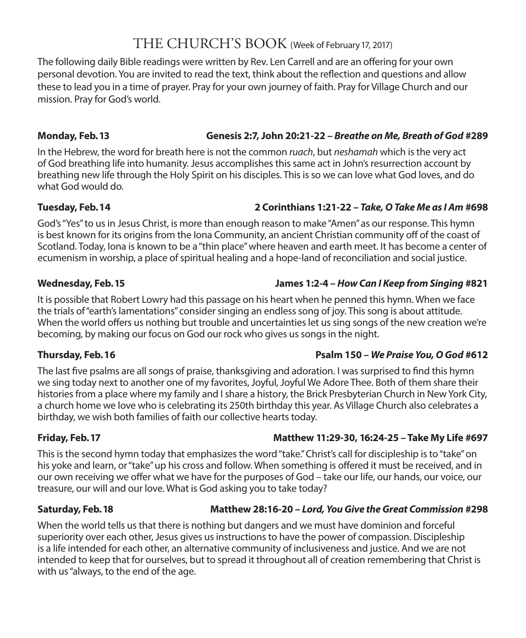### THE CHURCH'S BOOK (Week of February 17, 2017)

The following daily Bible readings were written by Rev. Len Carrell and are an offering for your own personal devotion. You are invited to read the text, think about the reflection and questions and allow these to lead you in a time of prayer. Pray for your own journey of faith. Pray for Village Church and our mission. Pray for God's world.

### **Monday, Feb. 13 Genesis 2:7, John 20:21-22 –** *Breathe on Me, Breath of God* **#289**

In the Hebrew, the word for breath here is not the common *ruach*, but *neshamah* which is the very act of God breathing life into humanity. Jesus accomplishes this same act in John's resurrection account by breathing new life through the Holy Spirit on his disciples. This is so we can love what God loves, and do what God would do.

### **Tuesday, Feb. 14 2 Corinthians 1:21-22 –** *Take, O Take Me as I Am* **#698**

God's "Yes" to us in Jesus Christ, is more than enough reason to make "Amen" as our response. This hymn is best known for its origins from the Iona Community, an ancient Christian community off of the coast of Scotland. Today, Iona is known to be a "thin place" where heaven and earth meet. It has become a center of ecumenism in worship, a place of spiritual healing and a hope-land of reconciliation and social justice.

### **Wednesday, Feb. 15 James 1:2-4 –** *How Can I Keep from Singing* **#821**

It is possible that Robert Lowry had this passage on his heart when he penned this hymn. When we face the trials of "earth's lamentations" consider singing an endless song of joy. This song is about attitude. When the world offers us nothing but trouble and uncertainties let us sing songs of the new creation we're becoming, by making our focus on God our rock who gives us songs in the night.

### **Thursday, Feb. 16 Psalm 150 –** *We Praise You, O God* **#612**

The last five psalms are all songs of praise, thanksgiving and adoration. I was surprised to find this hymn we sing today next to another one of my favorites, Joyful, Joyful We Adore Thee. Both of them share their histories from a place where my family and I share a history, the Brick Presbyterian Church in New York City, a church home we love who is celebrating its 250th birthday this year. As Village Church also celebrates a birthday, we wish both families of faith our collective hearts today.

### **Friday, Feb. 17 Matthew 11:29-30, 16:24-25 – Take My Life #697**

This is the second hymn today that emphasizes the word "take." Christ's call for discipleship is to "take" on his yoke and learn, or "take" up his cross and follow. When something is offered it must be received, and in our own receiving we offer what we have for the purposes of God – take our life, our hands, our voice, our treasure, our will and our love. What is God asking you to take today?

### **Saturday, Feb. 18 Matthew 28:16-20 –** *Lord, You Give the Great Commission* **#298**

When the world tells us that there is nothing but dangers and we must have dominion and forceful superiority over each other, Jesus gives us instructions to have the power of compassion. Discipleship is a life intended for each other, an alternative community of inclusiveness and justice. And we are not intended to keep that for ourselves, but to spread it throughout all of creation remembering that Christ is with us "always, to the end of the age.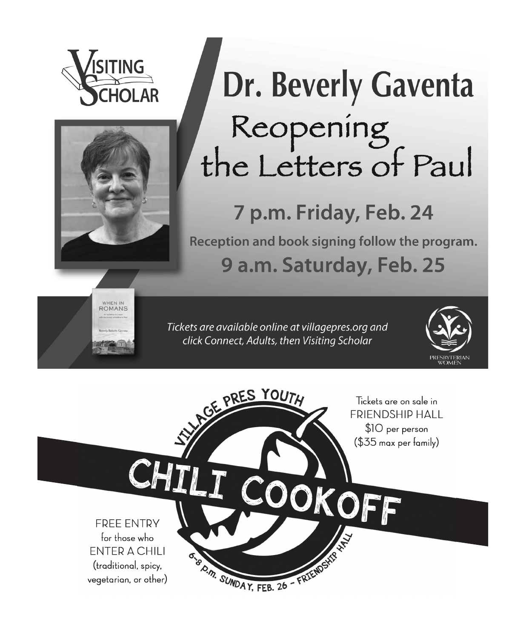



# Dr. Beverly Gaventa Reopening<br>the Letters of Paul

# 7 p.m. Friday, Feb. 24

Reception and book signing follow the program. 9 a.m. Saturday, Feb. 25



Tickets are available online at villagepres.org and click Connect, Adults, then Visiting Scholar



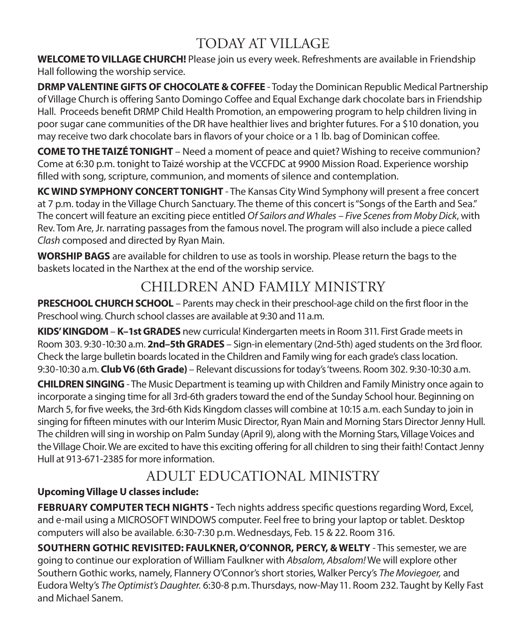### TODAY AT VILLAGE

**WELCOME TO VILLAGE CHURCH!** Please join us every week. Refreshments are available in Friendship Hall following the worship service.

**DRMP VALENTINE GIFTS OF CHOCOLATE & COFFEE** - Today the Dominican Republic Medical Partnership of Village Church is offering Santo Domingo Coffee and Equal Exchange dark chocolate bars in Friendship Hall. Proceeds benefit DRMP Child Health Promotion, an empowering program to help children living in poor sugar cane communities of the DR have healthier lives and brighter futures. For a \$10 donation, you may receive two dark chocolate bars in flavors of your choice or a 1 lb. bag of Dominican coffee.

**COME TO THE TAIZÉ TONIGHT** – Need a moment of peace and quiet? Wishing to receive communion? Come at 6:30 p.m. tonight to Taizé worship at the VCCFDC at 9900 Mission Road. Experience worship filled with song, scripture, communion, and moments of silence and contemplation.

**KC WIND SYMPHONY CONCERT TONIGHT** - The Kansas City Wind Symphony will present a free concert at 7 p.m. today in the Village Church Sanctuary. The theme of this concert is "Songs of the Earth and Sea." The concert will feature an exciting piece entitled *Of Sailors and Whales – Five Scenes from Moby Dick*, with Rev. Tom Are, Jr. narrating passages from the famous novel. The program will also include a piece called *Clash* composed and directed by Ryan Main.

**WORSHIP BAGS** are available for children to use as tools in worship. Please return the bags to the baskets located in the Narthex at the end of the worship service.

### CHILDREN AND FAMILY MINISTRY

**PRESCHOOL CHURCH SCHOOL** – Parents may check in their preschool-age child on the first floor in the Preschool wing. Church school classes are available at 9:30 and 11 a.m.

**KIDS' KINGDOM** – **K–1st GRADES** new curricula! Kindergarten meets in Room 311. First Grade meets in Room 303. 9:30-10:30 a.m. **2nd–5th GRADES** – Sign-in elementary (2nd-5th) aged students on the 3rd floor. Check the large bulletin boards located in the Children and Family wing for each grade's class location. 9:30-10:30 a.m. **Club V6 (6th Grade)** – Relevant discussions for today's 'tweens. Room 302. 9:30-10:30 a.m.

**CHILDREN SINGING** - The Music Department is teaming up with Children and Family Ministry once again to incorporate a singing time for all 3rd-6th graders toward the end of the Sunday School hour. Beginning on March 5, for five weeks, the 3rd-6th Kids Kingdom classes will combine at 10:15 a.m. each Sunday to join in singing for fifteen minutes with our Interim Music Director, Ryan Main and Morning Stars Director Jenny Hull. The children will sing in worship on Palm Sunday (April 9), along with the Morning Stars, Village Voices and the Village Choir. We are excited to have this exciting offering for all children to sing their faith! Contact Jenny Hull at 913-671-2385 for more information.

### ADULT EDUCATIONAL MINISTRY

### **Upcoming Village U classes include:**

**FEBRUARY COMPUTER TECH NIGHTS -** Tech nights address specific questions regarding Word, Excel, and e-mail using a MICROSOFT WINDOWS computer. Feel free to bring your laptop or tablet. Desktop computers will also be available. 6:30-7:30 p.m. Wednesdays, Feb. 15 & 22. Room 316.

**SOUTHERN GOTHIC REVISITED: FAULKNER, O'CONNOR, PERCY, & WELTY** - This semester, we are going to continue our exploration of William Faulkner with *Absalom, Absalom!* We will explore other Southern Gothic works, namely, Flannery O'Connor's short stories, Walker Percy's *The Moviegoer,* and Eudora Welty's *The Optimist's Daughter.* 6:30-8 p.m. Thursdays, now-May 11. Room 232. Taught by Kelly Fast and Michael Sanem.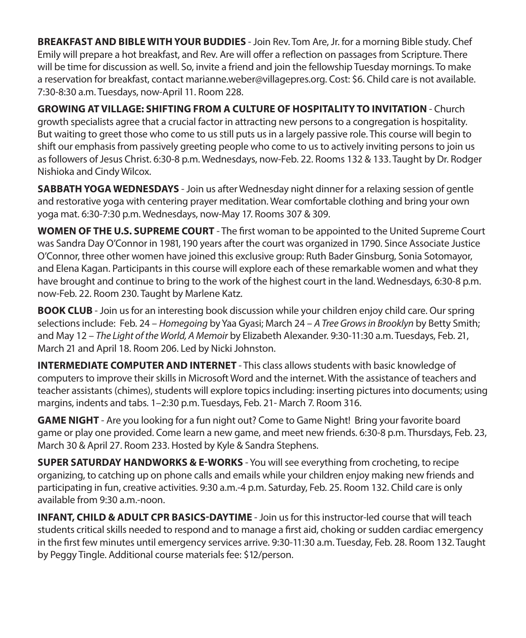**BREAKFAST AND BIBLE WITH YOUR BUDDIES** - Join Rev. Tom Are, Jr. for a morning Bible study. Chef Emily will prepare a hot breakfast, and Rev. Are will offer a reflection on passages from Scripture. There will be time for discussion as well. So, invite a friend and join the fellowship Tuesday mornings. To make a reservation for breakfast, contact marianne.weber@villagepres.org. Cost: \$6. Child care is not available. 7:30-8:30 a.m. Tuesdays, now-April 11. Room 228.

**GROWING AT VILLAGE: SHIFTING FROM A CULTURE OF HOSPITALITY TO INVITATION** - Church growth specialists agree that a crucial factor in attracting new persons to a congregation is hospitality. But waiting to greet those who come to us still puts us in a largely passive role. This course will begin to shift our emphasis from passively greeting people who come to us to actively inviting persons to join us as followers of Jesus Christ. 6:30-8 p.m. Wednesdays, now-Feb. 22. Rooms 132 & 133. Taught by Dr. Rodger Nishioka and Cindy Wilcox.

**SABBATH YOGA WEDNESDAYS** - Join us after Wednesday night dinner for a relaxing session of gentle and restorative yoga with centering prayer meditation. Wear comfortable clothing and bring your own yoga mat. 6:30-7:30 p.m. Wednesdays, now-May 17. Rooms 307 & 309.

**WOMEN OF THE U.S. SUPREME COURT** - The first woman to be appointed to the United Supreme Court was Sandra Day O'Connor in 1981, 190 years after the court was organized in 1790. Since Associate Justice O'Connor, three other women have joined this exclusive group: Ruth Bader Ginsburg, Sonia Sotomayor, and Elena Kagan. Participants in this course will explore each of these remarkable women and what they have brought and continue to bring to the work of the highest court in the land. Wednesdays, 6:30-8 p.m. now-Feb. 22. Room 230. Taught by Marlene Katz.

**BOOK CLUB** - Join us for an interesting book discussion while your children enjoy child care. Our spring selections include: Feb. 24 – *Homegoing* by Yaa Gyasi; March 24 – *A Tree Grows in Brooklyn* by Betty Smith; and May 12 – *The Light of the World, A Memoir* by Elizabeth Alexander. 9:30-11:30 a.m. Tuesdays, Feb. 21, March 21 and April 18. Room 206. Led by Nicki Johnston.

**INTERMEDIATE COMPUTER AND INTERNET** - This class allows students with basic knowledge of computers to improve their skills in Microsoft Word and the internet. With the assistance of teachers and teacher assistants (chimes), students will explore topics including: inserting pictures into documents; using margins, indents and tabs. 1–2:30 p.m. Tuesdays, Feb. 21- March 7. Room 316.

**GAME NIGHT** - Are you looking for a fun night out? Come to Game Night! Bring your favorite board game or play one provided. Come learn a new game, and meet new friends. 6:30-8 p.m. Thursdays, Feb. 23, March 30 & April 27. Room 233. Hosted by Kyle & Sandra Stephens.

**SUPER SATURDAY HANDWORKS & E-WORKS** - You will see everything from crocheting, to recipe organizing, to catching up on phone calls and emails while your children enjoy making new friends and participating in fun, creative activities. 9:30 a.m.-4 p.m. Saturday, Feb. 25. Room 132. Child care is only available from 9:30 a.m.-noon.

**INFANT, CHILD & ADULT CPR BASICS-DAYTIME** - Join us for this instructor-led course that will teach students critical skills needed to respond and to manage a first aid, choking or sudden cardiac emergency in the first few minutes until emergency services arrive. 9:30-11:30 a.m. Tuesday, Feb. 28. Room 132. Taught by Peggy Tingle. Additional course materials fee: \$12/person.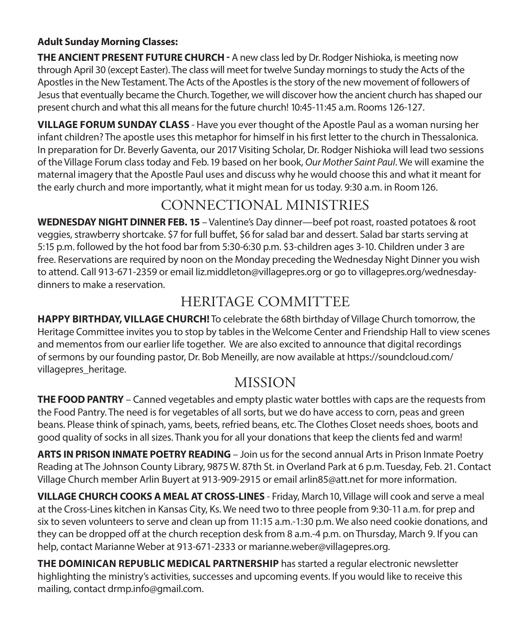### **Adult Sunday Morning Classes:**

**THE ANCIENT PRESENT FUTURE CHURCH -** A new class led by Dr. Rodger Nishioka, is meeting now through April 30 (except Easter). The class will meet for twelve Sunday mornings to study the Acts of the Apostles in the New Testament. The Acts of the Apostles is the story of the new movement of followers of Jesus that eventually became the Church. Together, we will discover how the ancient church has shaped our present church and what this all means for the future church! 10:45-11:45 a.m. Rooms 126-127.

**VILLAGE FORUM SUNDAY CLASS** - Have you ever thought of the Apostle Paul as a woman nursing her infant children? The apostle uses this metaphor for himself in his first letter to the church in Thessalonica. In preparation for Dr. Beverly Gaventa, our 2017 Visiting Scholar, Dr. Rodger Nishioka will lead two sessions of the Village Forum class today and Feb. 19 based on her book, *Our Mother Saint Paul*. We will examine the maternal imagery that the Apostle Paul uses and discuss why he would choose this and what it meant for the early church and more importantly, what it might mean for us today. 9:30 a.m. in Room 126.

### CONNECTIONAL MINISTRIES

**WEDNESDAY NIGHT DINNER FEB. 15** – Valentine's Day dinner—beef pot roast, roasted potatoes & root veggies, strawberry shortcake. \$7 for full buffet, \$6 for salad bar and dessert. Salad bar starts serving at 5:15 p.m. followed by the hot food bar from 5:30-6:30 p.m. \$3-children ages 3-10. Children under 3 are free. Reservations are required by noon on the Monday preceding the Wednesday Night Dinner you wish to attend. Call 913-671-2359 or email liz.middleton@villagepres.org or go to villagepres.org/wednesdaydinners to make a reservation.

### HERITAGE COMMITTEE

**HAPPY BIRTHDAY, VILLAGE CHURCH!** To celebrate the 68th birthday of Village Church tomorrow, the Heritage Committee invites you to stop by tables in the Welcome Center and Friendship Hall to view scenes and mementos from our earlier life together. We are also excited to announce that digital recordings of sermons by our founding pastor, Dr. Bob Meneilly, are now available at https://soundcloud.com/ villagepres heritage.

### MISSION

**THE FOOD PANTRY** – Canned vegetables and empty plastic water bottles with caps are the requests from the Food Pantry. The need is for vegetables of all sorts, but we do have access to corn, peas and green beans. Please think of spinach, yams, beets, refried beans, etc. The Clothes Closet needs shoes, boots and good quality of socks in all sizes. Thank you for all your donations that keep the clients fed and warm!

**ARTS IN PRISON INMATE POETRY READING** – Join us for the second annual Arts in Prison Inmate Poetry Reading at The Johnson County Library, 9875 W. 87th St. in Overland Park at 6 p.m. Tuesday, Feb. 21. Contact Village Church member Arlin Buyert at 913-909-2915 or email arlin85@att.net for more information.

**VILLAGE CHURCH COOKS A MEAL AT CROSS-LINES** - Friday, March 10, Village will cook and serve a meal at the Cross-Lines kitchen in Kansas City, Ks. We need two to three people from 9:30-11 a.m. for prep and six to seven volunteers to serve and clean up from 11:15 a.m.-1:30 p.m. We also need cookie donations, and they can be dropped off at the church reception desk from 8 a.m.-4 p.m. on Thursday, March 9. If you can help, contact Marianne Weber at 913-671-2333 or marianne.weber@villagepres.org.

**THE DOMINICAN REPUBLIC MEDICAL PARTNERSHIP** has started a regular electronic newsletter highlighting the ministry's activities, successes and upcoming events. If you would like to receive this mailing, contact drmp.info@gmail.com.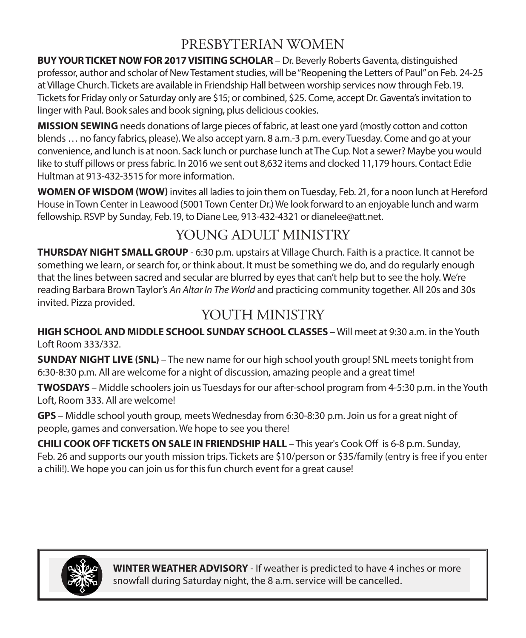### PRESBYTERIAN WOMEN

**BUY YOUR TICKET NOW FOR 2017 VISITING SCHOLAR** – Dr. Beverly Roberts Gaventa, distinguished professor, author and scholar of New Testament studies, will be "Reopening the Letters of Paul" on Feb. 24-25 at Village Church. Tickets are available in Friendship Hall between worship services now through Feb. 19. Tickets for Friday only or Saturday only are \$15; or combined, \$25. Come, accept Dr. Gaventa's invitation to linger with Paul. Book sales and book signing, plus delicious cookies.

**MISSION SEWING** needs donations of large pieces of fabric, at least one yard (mostly cotton and cotton blends … no fancy fabrics, please). We also accept yarn. 8 a.m.-3 p.m. every Tuesday. Come and go at your convenience, and lunch is at noon. Sack lunch or purchase lunch at The Cup. Not a sewer? Maybe you would like to stuff pillows or press fabric. In 2016 we sent out 8,632 items and clocked 11,179 hours. Contact Edie Hultman at 913-432-3515 for more information.

**WOMEN OF WISDOM (WOW)** invites all ladies to join them on Tuesday, Feb. 21, for a noon lunch at Hereford House in Town Center in Leawood (5001 Town Center Dr.) We look forward to an enjoyable lunch and warm fellowship. RSVP by Sunday, Feb. 19, to Diane Lee, 913-432-4321 or dianelee@att.net.

### YOUNG ADULT MINISTRY

**THURSDAY NIGHT SMALL GROUP** - 6:30 p.m. upstairs at Village Church. Faith is a practice. It cannot be something we learn, or search for, or think about. It must be something we do, and do regularly enough that the lines between sacred and secular are blurred by eyes that can't help but to see the holy. We're reading Barbara Brown Taylor's *An Altar In The World* and practicing community together. All 20s and 30s invited. Pizza provided.

### YOUTH MINISTRY

**HIGH SCHOOL AND MIDDLE SCHOOL SUNDAY SCHOOL CLASSES** – Will meet at 9:30 a.m. in the Youth Loft Room 333/332.

**SUNDAY NIGHT LIVE (SNL)** – The new name for our high school youth group! SNL meets tonight from 6:30-8:30 p.m. All are welcome for a night of discussion, amazing people and a great time!

**TWOSDAYS** – Middle schoolers join us Tuesdays for our after-school program from 4-5:30 p.m. in the Youth Loft, Room 333. All are welcome!

**GPS** – Middle school youth group, meets Wednesday from 6:30-8:30 p.m. Join us for a great night of people, games and conversation. We hope to see you there!

**CHILI COOK OFF TICKETS ON SALE IN FRIENDSHIP HALL** – This year's Cook Off is 6-8 p.m. Sunday, Feb. 26 and supports our youth mission trips. Tickets are \$10/person or \$35/family (entry is free if you enter a chili!). We hope you can join us for this fun church event for a great cause!



**WINTER WEATHER ADVISORY** - If weather is predicted to have 4 inches or more snowfall during Saturday night, the 8 a.m. service will be cancelled.